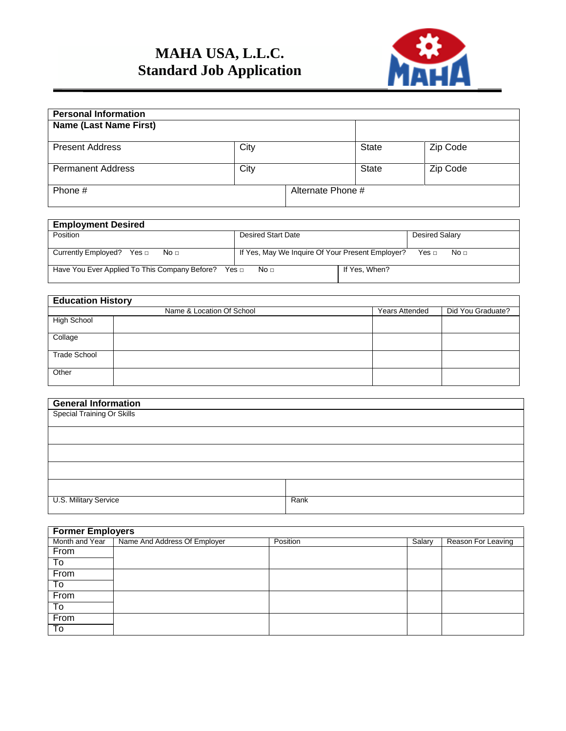## **MAHA USA, L.L.C. Standard Job Application**



| <b>Personal Information</b>   |      |                   |       |          |  |  |  |
|-------------------------------|------|-------------------|-------|----------|--|--|--|
| <b>Name (Last Name First)</b> |      |                   |       |          |  |  |  |
|                               |      |                   |       |          |  |  |  |
| <b>Present Address</b>        | City |                   | State | Zip Code |  |  |  |
| <b>Permanent Address</b>      | City |                   | State | Zip Code |  |  |  |
| Phone #                       |      | Alternate Phone # |       |          |  |  |  |

## **Employment Desired** Posited Start Date Desired Salary Currently Employed? Yes □ No □ If Yes, May We Inquire Of Your Present Employer? Yes □ No □ Have You Ever Applied To This Company Before? Yes □ No □ | If Yes, When?

## **Education History** Name & Location Of School **Years Attended** Did You Graduate? High School Collage Trade School **Other**

| <b>General Information</b> |      |
|----------------------------|------|
| Special Training Or Skills |      |
|                            |      |
|                            |      |
|                            |      |
|                            |      |
|                            |      |
|                            |      |
|                            |      |
|                            |      |
|                            |      |
| U.S. Military Service      | Rank |
|                            |      |

| <b>Former Employers</b> |                                               |          |        |                    |  |  |  |
|-------------------------|-----------------------------------------------|----------|--------|--------------------|--|--|--|
|                         | Month and Year   Name And Address Of Employer | Position | Salary | Reason For Leaving |  |  |  |
| From                    |                                               |          |        |                    |  |  |  |
| To                      |                                               |          |        |                    |  |  |  |
| From                    |                                               |          |        |                    |  |  |  |
| To                      |                                               |          |        |                    |  |  |  |
| From                    |                                               |          |        |                    |  |  |  |
| To                      |                                               |          |        |                    |  |  |  |
| From                    |                                               |          |        |                    |  |  |  |
| To                      |                                               |          |        |                    |  |  |  |